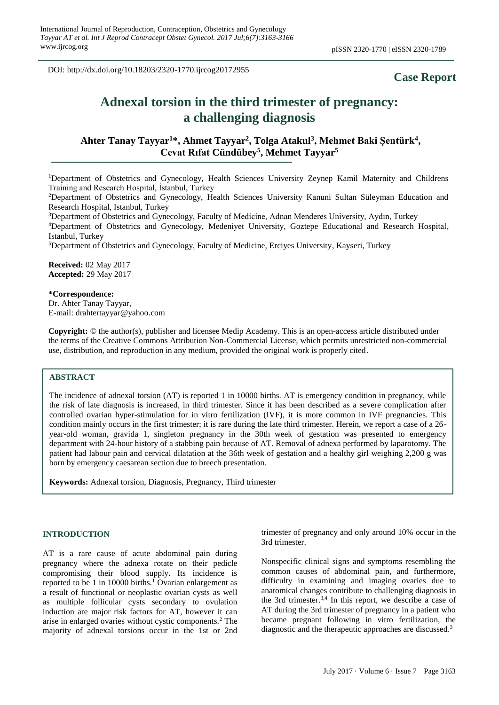DOI: http://dx.doi.org/10.18203/2320-1770.ijrcog20172955

# **Case Report**

# **Adnexal torsion in the third trimester of pregnancy: a challenging diagnosis**

# **Ahter Tanay Tayyar<sup>1</sup>\*, Ahmet Tayyar<sup>2</sup> , Tolga Atakul<sup>3</sup> , Mehmet Baki Şentürk<sup>4</sup> , Cevat Rıfat Cündübey<sup>5</sup> , Mehmet Tayyar<sup>5</sup>**

<sup>1</sup>Department of Obstetrics and Gynecology, Health Sciences University Zeynep Kamil Maternity and Childrens Training and Research Hospital, İstanbul, Turkey

<sup>2</sup>Department of Obstetrics and Gynecology, Health Sciences University Kanuni Sultan Süleyman Education and Research Hospital, Istanbul, Turkey

<sup>3</sup>Department of Obstetrics and Gynecology, Faculty of Medicine, Adnan Menderes University, Aydın, Turkey

<sup>4</sup>Department of Obstetrics and Gynecology, Medeniyet University, Goztepe Educational and Research Hospital, Istanbul, Turkey

<sup>5</sup>Department of Obstetrics and Gynecology, Faculty of Medicine, Erciyes University, Kayseri, Turkey

**Received:** 02 May 2017 **Accepted:** 29 May 2017

#### **\*Correspondence:**

Dr. Ahter Tanay Tayyar, E-mail: drahtertayyar@yahoo.com

**Copyright:** © the author(s), publisher and licensee Medip Academy. This is an open-access article distributed under the terms of the Creative Commons Attribution Non-Commercial License, which permits unrestricted non-commercial use, distribution, and reproduction in any medium, provided the original work is properly cited.

#### **ABSTRACT**

The incidence of adnexal torsion (AT) is reported 1 in 10000 births. AT is emergency condition in pregnancy, while the risk of late diagnosis is increased, in third trimester. Since it has been described as a severe complication after controlled ovarian hyper-stimulation for in vitro fertilization (IVF), it is more common in IVF pregnancies. This condition mainly occurs in the first trimester; it is rare during the late third trimester. Herein, we report a case of a 26 year-old woman, gravida 1, singleton pregnancy in the 30th week of gestation was presented to emergency department with 24-hour history of a stabbing pain because of AT. Removal of adnexa performed by laparotomy. The patient had labour pain and cervical dilatation at the 36th week of gestation and a healthy girl weighing 2,200 g was born by emergency caesarean section due to breech presentation.

**Keywords:** Adnexal torsion, Diagnosis, Pregnancy, Third trimester

#### **INTRODUCTION**

AT is a rare cause of acute abdominal pain during pregnancy where the adnexa rotate on their pedicle compromising their blood supply. Its incidence is reported to be 1 in 10000 births.<sup>1</sup> Ovarian enlargement as a result of functional or neoplastic ovarian cysts as well as multiple follicular cysts secondary to ovulation induction are major risk factors for AT, however it can arise in enlarged ovaries without cystic components.<sup>2</sup> The majority of adnexal torsions occur in the 1st or 2nd trimester of pregnancy and only around 10% occur in the 3rd trimester.

Nonspecific clinical signs and symptoms resembling the common causes of abdominal pain, and furthermore, difficulty in examining and imaging ovaries due to anatomical changes contribute to challenging diagnosis in the 3rd trimester.3,4 In this report, we describe a case of AT during the 3rd trimester of pregnancy in a patient who became pregnant following in vitro fertilization, the diagnostic and the therapeutic approaches are discussed. 3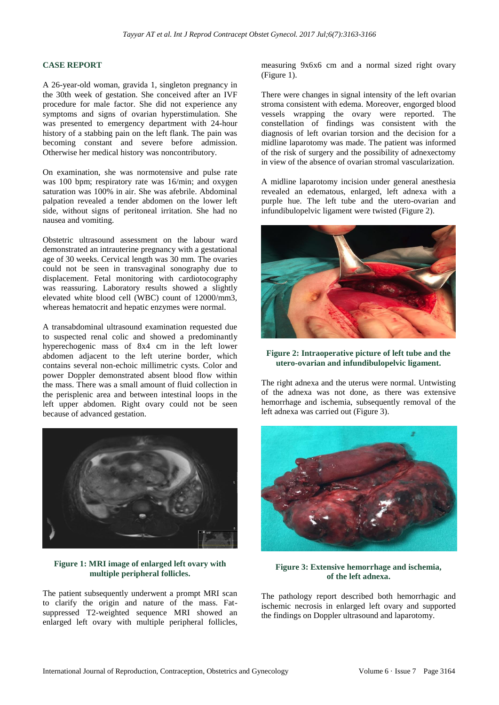#### **CASE REPORT**

A 26-year-old woman, gravida 1, singleton pregnancy in the 30th week of gestation. She conceived after an IVF procedure for male factor. She did not experience any symptoms and signs of ovarian hyperstimulation. She was presented to emergency department with 24-hour history of a stabbing pain on the left flank. The pain was becoming constant and severe before admission. Otherwise her medical history was noncontributory.

On examination, she was normotensive and pulse rate was 100 bpm; respiratory rate was 16/min; and oxygen saturation was 100% in air. She was afebrile. Abdominal palpation revealed a tender abdomen on the lower left side, without signs of peritoneal irritation. She had no nausea and vomiting.

Obstetric ultrasound assessment on the labour ward demonstrated an intrauterine pregnancy with a gestational age of 30 weeks. Cervical length was 30 mm. The ovaries could not be seen in transvaginal sonography due to displacement. Fetal monitoring with cardiotocography was reassuring. Laboratory results showed a slightly elevated white blood cell (WBC) count of 12000/mm3, whereas hematocrit and hepatic enzymes were normal.

A transabdominal ultrasound examination requested due to suspected renal colic and showed a predominantly hyperechogenic mass of 8x4 cm in the left lower abdomen adjacent to the left uterine border, which contains several non-echoic millimetric cysts. Color and power Doppler demonstrated absent blood flow within the mass. There was a small amount of fluid collection in the perisplenic area and between intestinal loops in the left upper abdomen. Right ovary could not be seen because of advanced gestation.



# **Figure 1: MRI image of enlarged left ovary with multiple peripheral follicles.**

The patient subsequently underwent a prompt MRI scan to clarify the origin and nature of the mass. Fatsuppressed T2-weighted sequence MRI showed an enlarged left ovary with multiple peripheral follicles, measuring 9x6x6 cm and a normal sized right ovary (Figure 1).

There were changes in signal intensity of the left ovarian stroma consistent with edema. Moreover, engorged blood vessels wrapping the ovary were reported. The constellation of findings was consistent with the diagnosis of left ovarian torsion and the decision for a midline laparotomy was made. The patient was informed of the risk of surgery and the possibility of adnexectomy in view of the absence of ovarian stromal vascularization.

A midline laparotomy incision under general anesthesia revealed an edematous, enlarged, left adnexa with a purple hue. The left tube and the utero-ovarian and infundibulopelvic ligament were twisted (Figure 2).



# **Figure 2: Intraoperative picture of left tube and the utero-ovarian and infundibulopelvic ligament.**

The right adnexa and the uterus were normal. Untwisting of the adnexa was not done, as there was extensive hemorrhage and ischemia, subsequently removal of the left adnexa was carried out (Figure 3).



**Figure 3: Extensive hemorrhage and ischemia, of the left adnexa.**

The pathology report described both hemorrhagic and ischemic necrosis in enlarged left ovary and supported the findings on Doppler ultrasound and laparotomy.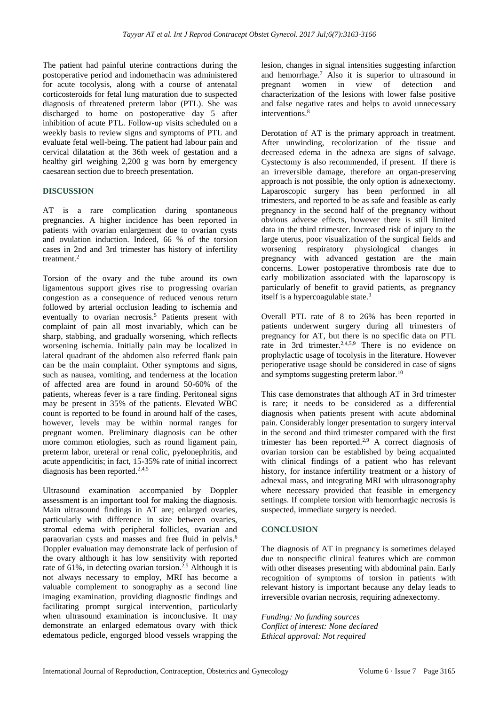The patient had painful uterine contractions during the postoperative period and indomethacin was administered for acute tocolysis, along with a course of antenatal corticosteroids for fetal lung maturation due to suspected diagnosis of threatened preterm labor (PTL). She was discharged to home on postoperative day 5 after inhibition of acute PTL. Follow-up visits scheduled on a weekly basis to review signs and symptoms of PTL and evaluate fetal well-being. The patient had labour pain and cervical dilatation at the 36th week of gestation and a healthy girl weighing 2,200 g was born by emergency caesarean section due to breech presentation.

## **DISCUSSION**

AT is a rare complication during spontaneous pregnancies. A higher incidence has been reported in patients with ovarian enlargement due to ovarian cysts and ovulation induction. Indeed, 66 % of the torsion cases in 2nd and 3rd trimester has history of infertility treatment.<sup>2</sup>

Torsion of the ovary and the tube around its own ligamentous support gives rise to progressing ovarian congestion as a consequence of reduced venous return followed by arterial occlusion leading to ischemia and eventually to ovarian necrosis.<sup>5</sup> Patients present with complaint of pain all most invariably, which can be sharp, stabbing, and gradually worsening, which reflects worsening ischemia. Initially pain may be localized in lateral quadrant of the abdomen also referred flank pain can be the main complaint. Other symptoms and signs, such as nausea, vomiting, and tenderness at the location of affected area are found in around 50-60% of the patients, whereas fever is a rare finding. Peritoneal signs may be present in 35% of the patients. Elevated WBC count is reported to be found in around half of the cases, however, levels may be within normal ranges for pregnant women. Preliminary diagnosis can be other more common etiologies, such as round ligament pain, preterm labor, ureteral or renal colic, pyelonephritis, and acute appendicitis; in fact, 15-35% rate of initial incorrect diagnosis has been reported. $2,4,5$ 

Ultrasound examination accompanied by Doppler assessment is an important tool for making the diagnosis. Main ultrasound findings in AT are; enlarged ovaries, particularly with difference in size between ovaries, stromal edema with peripheral follicles, ovarian and paraovarian cysts and masses and free fluid in pelvis.<sup>6</sup> Doppler evaluation may demonstrate lack of perfusion of the ovary although it has low sensitivity with reported rate of 61%, in detecting ovarian torsion.<sup>2,5</sup> Although it is not always necessary to employ, MRI has become a valuable complement to sonography as a second line imaging examination, providing diagnostic findings and facilitating prompt surgical intervention, particularly when ultrasound examination is inconclusive. It may demonstrate an enlarged edematous ovary with thick edematous pedicle, engorged blood vessels wrapping the lesion, changes in signal intensities suggesting infarction and hemorrhage.<sup>7</sup> Also it is superior to ultrasound in pregnant women in view of detection and characterization of the lesions with lower false positive and false negative rates and helps to avoid unnecessary interventions.<sup>8</sup>

Derotation of AT is the primary approach in treatment. After unwinding, recolorization of the tissue and decreased edema in the adnexa are signs of salvage. Cystectomy is also recommended, if present. If there is an irreversible damage, therefore an organ-preserving approach is not possible, the only option is adnexectomy. Laparoscopic surgery has been performed in all trimesters, and reported to be as safe and feasible as early pregnancy in the second half of the pregnancy without obvious adverse effects, however there is still limited data in the third trimester. Increased risk of injury to the large uterus, poor visualization of the surgical fields and worsening respiratory physiological changes in pregnancy with advanced gestation are the main concerns. Lower postoperative thrombosis rate due to early mobilization associated with the laparoscopy is particularly of benefit to gravid patients, as pregnancy itself is a hypercoagulable state.<sup>9</sup>

Overall PTL rate of 8 to 26% has been reported in patients underwent surgery during all trimesters of pregnancy for AT, but there is no specific data on PTL rate in 3rd trimester.<sup>2,4,5,9</sup> There is no evidence on prophylactic usage of tocolysis in the literature. However perioperative usage should be considered in case of signs and symptoms suggesting preterm labor.<sup>10</sup>

This case demonstrates that although AT in 3rd trimester is rare; it needs to be considered as a differential diagnosis when patients present with acute abdominal pain. Considerably longer presentation to surgery interval in the second and third trimester compared with the first trimester has been reported.<sup>2,9</sup> A correct diagnosis of ovarian torsion can be established by being acquainted with clinical findings of a patient who has relevant history, for instance infertility treatment or a history of adnexal mass, and integrating MRI with ultrasonography where necessary provided that feasible in emergency settings. If complete torsion with hemorrhagic necrosis is suspected, immediate surgery is needed.

## **CONCLUSION**

The diagnosis of AT in pregnancy is sometimes delayed due to nonspecific clinical features which are common with other diseases presenting with abdominal pain. Early recognition of symptoms of torsion in patients with relevant history is important because any delay leads to irreversible ovarian necrosis, requiring adnexectomy.

*Funding: No funding sources Conflict of interest: None declared Ethical approval: Not required*